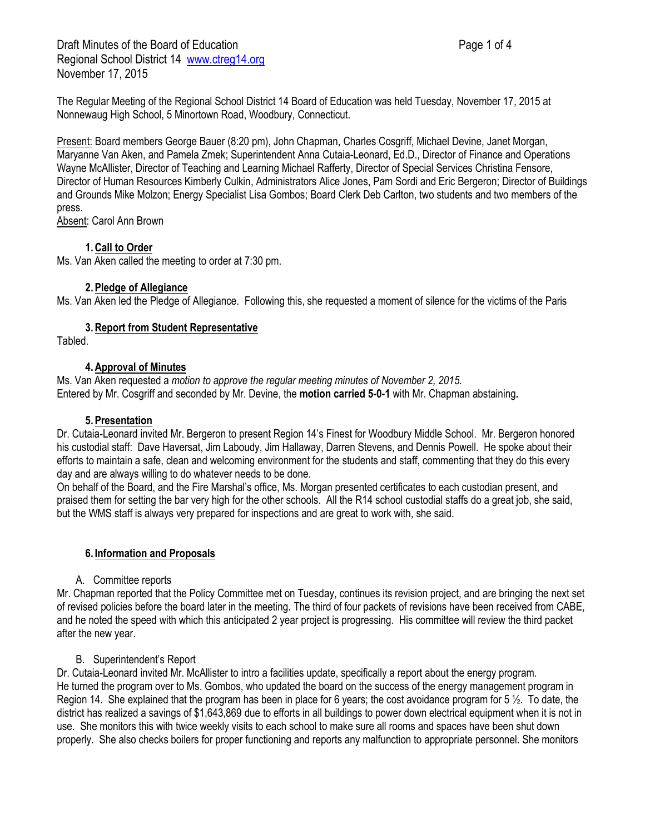The Regular Meeting of the Regional School District 14 Board of Education was held Tuesday, November 17, 2015 at Nonnewaug High School, 5 Minortown Road, Woodbury, Connecticut.

Present: Board members George Bauer (8:20 pm), John Chapman, Charles Cosgriff, Michael Devine, Janet Morgan, Maryanne Van Aken, and Pamela Zmek; Superintendent Anna Cutaia-Leonard, Ed.D., Director of Finance and Operations Wayne McAllister, Director of Teaching and Learning Michael Rafferty, Director of Special Services Christina Fensore, Director of Human Resources Kimberly Culkin, Administrators Alice Jones, Pam Sordi and Eric Bergeron; Director of Buildings and Grounds Mike Molzon; Energy Specialist Lisa Gombos; Board Clerk Deb Carlton, two students and two members of the press.

Absent: Carol Ann Brown

### **1.Call to Order**

Ms. Van Aken called the meeting to order at 7:30 pm.

#### **2.Pledge of Allegiance**

Ms. Van Aken led the Pledge of Allegiance. Following this, she requested a moment of silence for the victims of the Paris

### **3.Report from Student Representative**

Tabled.

### **4.Approval of Minutes**

Ms. Van Aken requested a *motion to approve the regular meeting minutes of November 2, 2015.* Entered by Mr. Cosgriff and seconded by Mr. Devine, the **motion carried 5-0-1** with Mr. Chapman abstaining**.**

#### **5.Presentation**

Dr. Cutaia-Leonard invited Mr. Bergeron to present Region 14's Finest for Woodbury Middle School. Mr. Bergeron honored his custodial staff: Dave Haversat, Jim Laboudy, Jim Hallaway, Darren Stevens, and Dennis Powell. He spoke about their efforts to maintain a safe, clean and welcoming environment for the students and staff, commenting that they do this every day and are always willing to do whatever needs to be done.

On behalf of the Board, and the Fire Marshal's office, Ms. Morgan presented certificates to each custodian present, and praised them for setting the bar very high for the other schools. All the R14 school custodial staffs do a great job, she said, but the WMS staff is always very prepared for inspections and are great to work with, she said.

# **6. Information and Proposals**

#### A. Committee reports

Mr. Chapman reported that the Policy Committee met on Tuesday, continues its revision project, and are bringing the next set of revised policies before the board later in the meeting. The third of four packets of revisions have been received from CABE, and he noted the speed with which this anticipated 2 year project is progressing. His committee will review the third packet after the new year.

# B. Superintendent's Report

Dr. Cutaia-Leonard invited Mr. McAllister to intro a facilities update, specifically a report about the energy program. He turned the program over to Ms. Gombos, who updated the board on the success of the energy management program in Region 14. She explained that the program has been in place for 6 years; the cost avoidance program for 5 ½. To date, the district has realized a savings of \$1,643,869 due to efforts in all buildings to power down electrical equipment when it is not in use. She monitors this with twice weekly visits to each school to make sure all rooms and spaces have been shut down properly. She also checks boilers for proper functioning and reports any malfunction to appropriate personnel. She monitors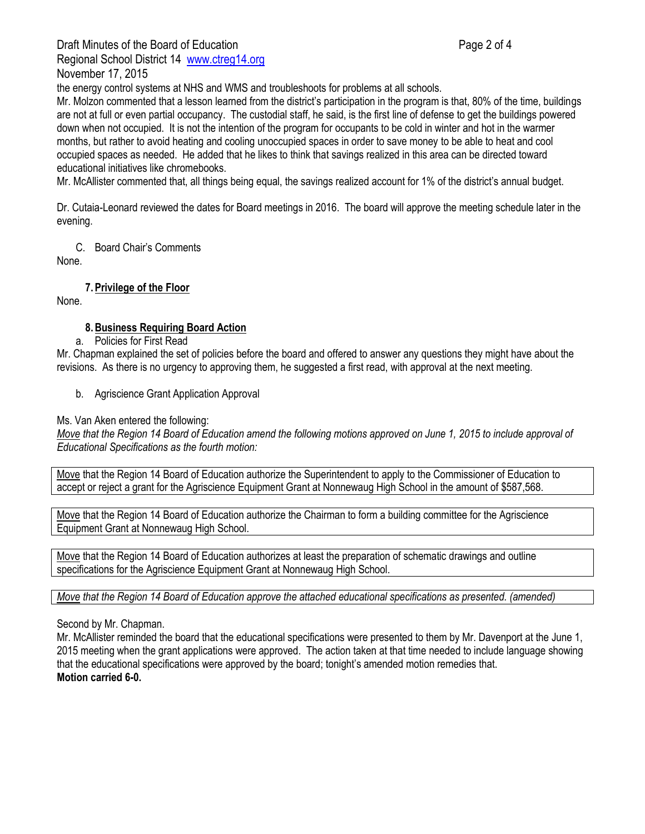Draft Minutes of the Board of Education **Page 2 of 4** and 2 of 4

Regional School District 14 [www.ctreg14.org](http://www.ctreg14.org/) November 17, 2015

the energy control systems at NHS and WMS and troubleshoots for problems at all schools.

Mr. Molzon commented that a lesson learned from the district's participation in the program is that, 80% of the time, buildings are not at full or even partial occupancy. The custodial staff, he said, is the first line of defense to get the buildings powered down when not occupied. It is not the intention of the program for occupants to be cold in winter and hot in the warmer months, but rather to avoid heating and cooling unoccupied spaces in order to save money to be able to heat and cool occupied spaces as needed. He added that he likes to think that savings realized in this area can be directed toward educational initiatives like chromebooks.

Mr. McAllister commented that, all things being equal, the savings realized account for 1% of the district's annual budget.

Dr. Cutaia-Leonard reviewed the dates for Board meetings in 2016. The board will approve the meeting schedule later in the evening.

C. Board Chair's Comments

None.

# **7.Privilege of the Floor**

None.

# **8.Business Requiring Board Action**

a. Policies for First Read

Mr. Chapman explained the set of policies before the board and offered to answer any questions they might have about the revisions. As there is no urgency to approving them, he suggested a first read, with approval at the next meeting.

b. Agriscience Grant Application Approval

Ms. Van Aken entered the following:

*Move that the Region 14 Board of Education amend the following motions approved on June 1, 2015 to include approval of Educational Specifications as the fourth motion:*

Move that the Region 14 Board of Education authorize the Superintendent to apply to the Commissioner of Education to accept or reject a grant for the Agriscience Equipment Grant at Nonnewaug High School in the amount of \$587,568.

Move that the Region 14 Board of Education authorize the Chairman to form a building committee for the Agriscience Equipment Grant at Nonnewaug High School.

Move that the Region 14 Board of Education authorizes at least the preparation of schematic drawings and outline specifications for the Agriscience Equipment Grant at Nonnewaug High School.

*Move that the Region 14 Board of Education approve the attached educational specifications as presented. (amended)*

# Second by Mr. Chapman.

Mr. McAllister reminded the board that the educational specifications were presented to them by Mr. Davenport at the June 1, 2015 meeting when the grant applications were approved. The action taken at that time needed to include language showing that the educational specifications were approved by the board; tonight's amended motion remedies that. **Motion carried 6-0.**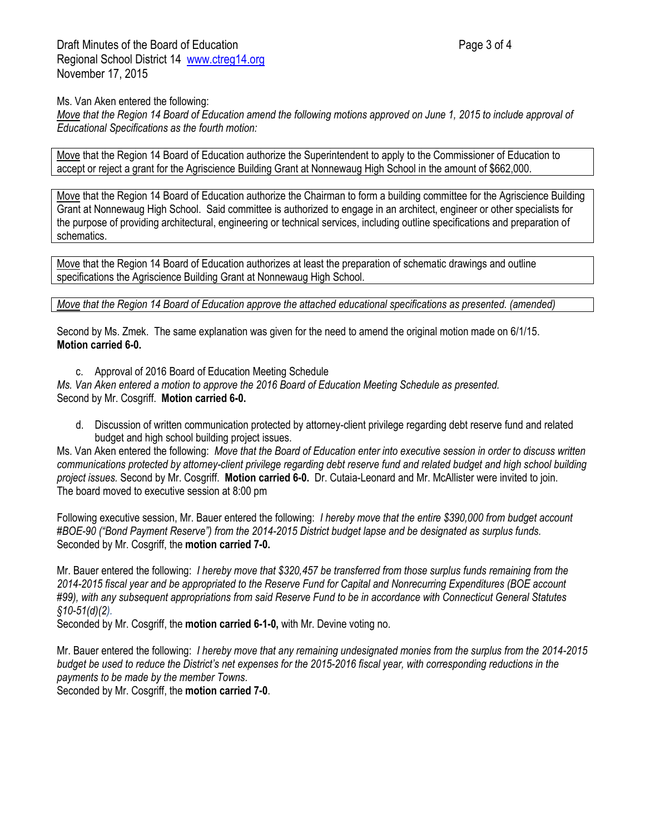Draft Minutes of the Board of Education **Page 3 of 4** and 2 of 4 Regional School District 14 [www.ctreg14.org](http://www.ctreg14.org/) November 17, 2015

Ms. Van Aken entered the following:

*Move that the Region 14 Board of Education amend the following motions approved on June 1, 2015 to include approval of Educational Specifications as the fourth motion:*

Move that the Region 14 Board of Education authorize the Superintendent to apply to the Commissioner of Education to accept or reject a grant for the Agriscience Building Grant at Nonnewaug High School in the amount of \$662,000.

Move that the Region 14 Board of Education authorize the Chairman to form a building committee for the Agriscience Building Grant at Nonnewaug High School. Said committee is authorized to engage in an architect, engineer or other specialists for the purpose of providing architectural, engineering or technical services, including outline specifications and preparation of schematics.

Move that the Region 14 Board of Education authorizes at least the preparation of schematic drawings and outline specifications the Agriscience Building Grant at Nonnewaug High School.

*Move that the Region 14 Board of Education approve the attached educational specifications as presented. (amended)*

Second by Ms. Zmek. The same explanation was given for the need to amend the original motion made on 6/1/15. **Motion carried 6-0.**

c. Approval of 2016 Board of Education Meeting Schedule

*Ms. Van Aken entered a motion to approve the 2016 Board of Education Meeting Schedule as presented.*  Second by Mr. Cosgriff. **Motion carried 6-0.**

d. Discussion of written communication protected by attorney-client privilege regarding debt reserve fund and related budget and high school building project issues.

Ms. Van Aken entered the following: *Move that the Board of Education enter into executive session in order to discuss written communications protected by attorney-client privilege regarding debt reserve fund and related budget and high school building project issues.* Second by Mr. Cosgriff. **Motion carried 6-0.** Dr. Cutaia-Leonard and Mr. McAllister were invited to join. The board moved to executive session at 8:00 pm

Following executive session, Mr. Bauer entered the following: *I hereby move that the entire \$390,000 from budget account #BOE-90 ("Bond Payment Reserve") from the 2014-2015 District budget lapse and be designated as surplus funds.* Seconded by Mr. Cosgriff, the **motion carried 7-0.**

Mr. Bauer entered the following: *I hereby move that \$320,457 be transferred from those surplus funds remaining from the 2014-2015 fiscal year and be appropriated to the Reserve Fund for Capital and Nonrecurring Expenditures (BOE account #99), with any subsequent appropriations from said Reserve Fund to be in accordance with Connecticut General Statutes §10-51(d)(2).*

Seconded by Mr. Cosgriff, the **motion carried 6-1-0,** with Mr. Devine voting no.

Mr. Bauer entered the following: *I hereby move that any remaining undesignated monies from the surplus from the 2014-2015 budget be used to reduce the District's net expenses for the 2015-2016 fiscal year, with corresponding reductions in the payments to be made by the member Towns.* 

Seconded by Mr. Cosgriff, the **motion carried 7-0**.